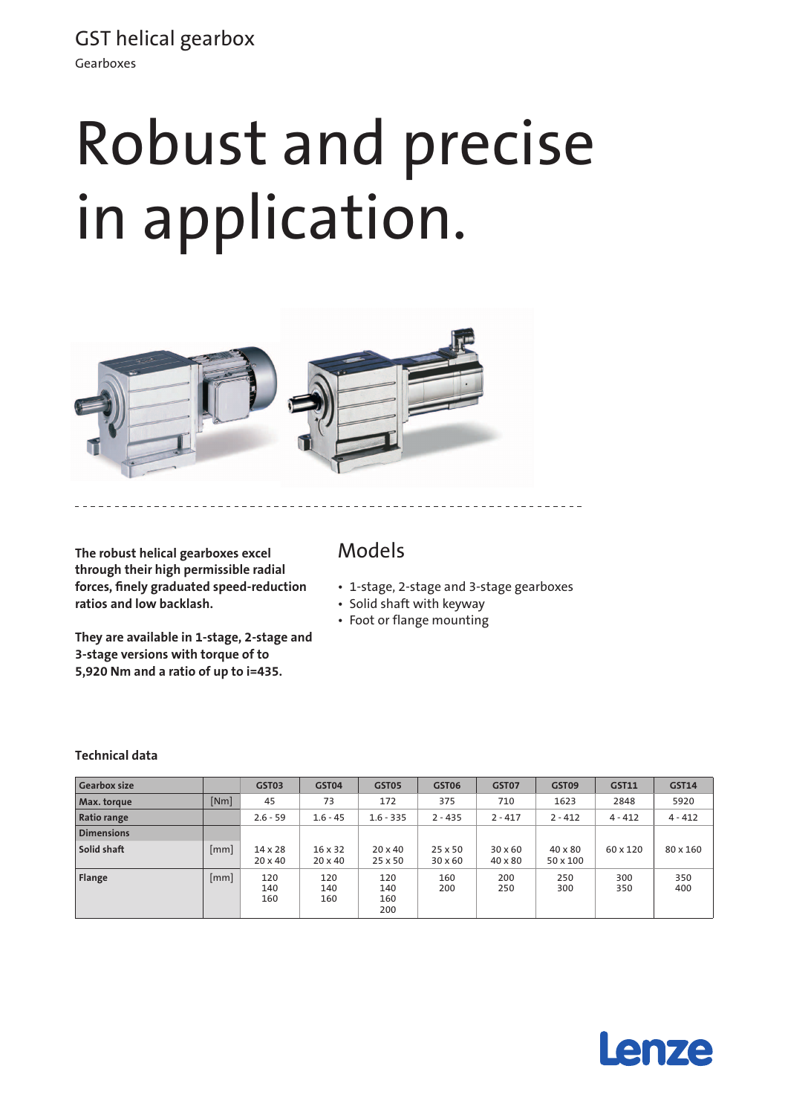GST helical gearbox Gearboxes

# Robust and precise in application.



**The robust helical gearboxes excel through their high permissible radial forces, finely graduated speed-reduction ratios and low backlash.**

**They are available in 1-stage, 2-stage and 3-stage versions with torque of to 5,920 Nm and a ratio of up to i=435.**

### Models

- • 1-stage, 2-stage and 3-stage gearboxes
- • Solid shaft with keyway
- Foot or flange mounting

#### **Technical data**

| <b>Gearbox size</b> |      | GST03                            | GST04                            | GST05                            | GST06                     | GST07                            | GST09                      | <b>GST11</b> | <b>GST14</b> |
|---------------------|------|----------------------------------|----------------------------------|----------------------------------|---------------------------|----------------------------------|----------------------------|--------------|--------------|
| Max. torque         | [Nm] | 45                               | 73                               | 172                              | 375                       | 710                              | 1623                       | 2848         | 5920         |
| <b>Ratio range</b>  |      | $2.6 - 59$                       | $1.6 - 45$                       | $1.6 - 335$                      | $2 - 435$                 | $2 - 417$                        | $2 - 412$                  | $4 - 412$    | $4 - 412$    |
| <b>Dimensions</b>   |      |                                  |                                  |                                  |                           |                                  |                            |              |              |
| Solid shaft         | mm   | $14 \times 28$<br>$20 \times 40$ | $16 \times 32$<br>$20 \times 40$ | $20 \times 40$<br>$25 \times 50$ | 25 x 50<br>$30 \times 60$ | $30 \times 60$<br>$40 \times 80$ | $40 \times 80$<br>50 x 100 | 60 x 120     | 80 x 160     |
| Flange              | mm   | 120<br>140<br>160                | 120<br>140<br>160                | 120<br>140<br>160<br>200         | 160<br>200                | 200<br>250                       | 250<br>300                 | 300<br>350   | 350<br>400   |